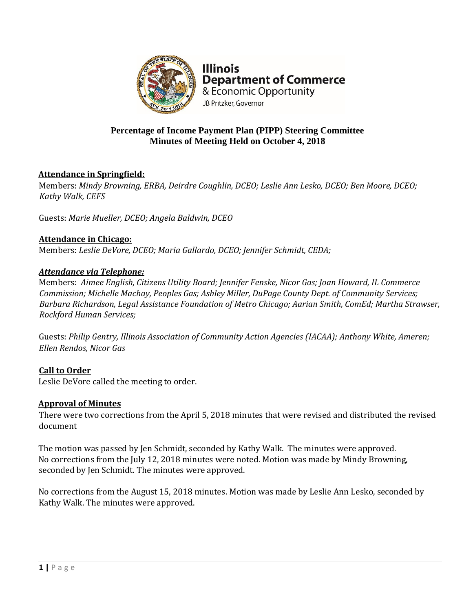

**Illinois Department of Commerce** & Economic Opportunity JB Pritzker, Governor

## **Percentage of Income Payment Plan (PIPP) Steering Committee Minutes of Meeting Held on October 4, 2018**

# **Attendance in Springfield:**

Members: *Mindy Browning, ERBA, Deirdre Coughlin, DCEO; Leslie Ann Lesko, DCEO; Ben Moore, DCEO; Kathy Walk, CEFS*

Guests: *Marie Mueller, DCEO; Angela Baldwin, DCEO*

## **Attendance in Chicago:**

Members: *Leslie DeVore, DCEO; Maria Gallardo, DCEO; Jennifer Schmidt, CEDA;* 

#### *Attendance via Telephone:*

Members: *Aimee English, Citizens Utility Board; Jennifer Fenske, Nicor Gas; Joan Howard, IL Commerce Commission; Michelle Machay, Peoples Gas; Ashley Miller, DuPage County Dept. of Community Services; Barbara Richardson, Legal Assistance Foundation of Metro Chicago; Aarian Smith, ComEd; Martha Strawser, Rockford Human Services;*

Guests: *Philip Gentry, Illinois Association of Community Action Agencies (IACAA); Anthony White, Ameren; Ellen Rendos, Nicor Gas*

## **Call to Order** Leslie DeVore called the meeting to order.

# **Approval of Minutes**

There were two corrections from the April 5, 2018 minutes that were revised and distributed the revised document

The motion was passed by Jen Schmidt, seconded by Kathy Walk. The minutes were approved. No corrections from the July 12, 2018 minutes were noted. Motion was made by Mindy Browning, seconded by Jen Schmidt. The minutes were approved.

No corrections from the August 15, 2018 minutes. Motion was made by Leslie Ann Lesko, seconded by Kathy Walk. The minutes were approved.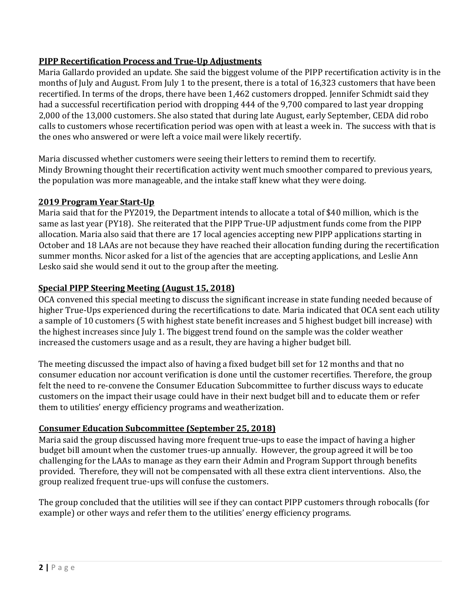# **PIPP Recertification Process and True-Up Adjustments**

Maria Gallardo provided an update. She said the biggest volume of the PIPP recertification activity is in the months of July and August. From July 1 to the present, there is a total of 16,323 customers that have been recertified. In terms of the drops, there have been 1,462 customers dropped. Jennifer Schmidt said they had a successful recertification period with dropping 444 of the 9,700 compared to last year dropping 2,000 of the 13,000 customers. She also stated that during late August, early September, CEDA did robo calls to customers whose recertification period was open with at least a week in. The success with that is the ones who answered or were left a voice mail were likely recertify.

Maria discussed whether customers were seeing their letters to remind them to recertify. Mindy Browning thought their recertification activity went much smoother compared to previous years, the population was more manageable, and the intake staff knew what they were doing.

## **2019 Program Year Start-Up**

Maria said that for the PY2019, the Department intends to allocate a total of \$40 million, which is the same as last year (PY18). She reiterated that the PIPP True-UP adjustment funds come from the PIPP allocation. Maria also said that there are 17 local agencies accepting new PIPP applications starting in October and 18 LAAs are not because they have reached their allocation funding during the recertification summer months. Nicor asked for a list of the agencies that are accepting applications, and Leslie Ann Lesko said she would send it out to the group after the meeting.

## **Special PIPP Steering Meeting (August 15, 2018)**

OCA convened this special meeting to discuss the significant increase in state funding needed because of higher True-Ups experienced during the recertifications to date. Maria indicated that OCA sent each utility a sample of 10 customers (5 with highest state benefit increases and 5 highest budget bill increase) with the highest increases since July 1. The biggest trend found on the sample was the colder weather increased the customers usage and as a result, they are having a higher budget bill.

The meeting discussed the impact also of having a fixed budget bill set for 12 months and that no consumer education nor account verification is done until the customer recertifies. Therefore, the group felt the need to re-convene the Consumer Education Subcommittee to further discuss ways to educate customers on the impact their usage could have in their next budget bill and to educate them or refer them to utilities' energy efficiency programs and weatherization.

#### **Consumer Education Subcommittee (September 25, 2018)**

Maria said the group discussed having more frequent true-ups to ease the impact of having a higher budget bill amount when the customer trues-up annually. However, the group agreed it will be too challenging for the LAAs to manage as they earn their Admin and Program Support through benefits provided. Therefore, they will not be compensated with all these extra client interventions. Also, the group realized frequent true-ups will confuse the customers.

The group concluded that the utilities will see if they can contact PIPP customers through robocalls (for example) or other ways and refer them to the utilities' energy efficiency programs.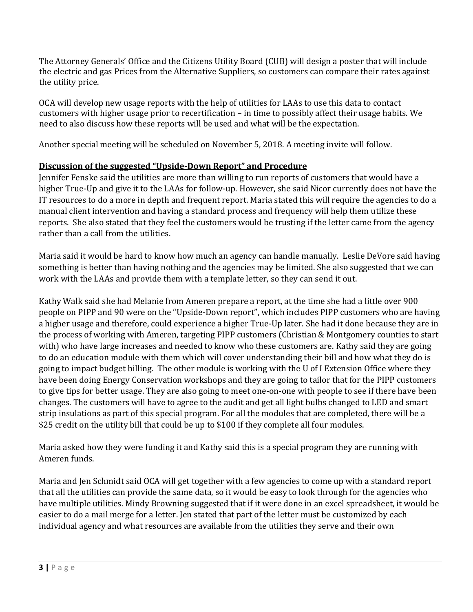The Attorney Generals' Office and the Citizens Utility Board (CUB) will design a poster that will include the electric and gas Prices from the Alternative Suppliers, so customers can compare their rates against the utility price.

OCA will develop new usage reports with the help of utilities for LAAs to use this data to contact customers with higher usage prior to recertification – in time to possibly affect their usage habits. We need to also discuss how these reports will be used and what will be the expectation.

Another special meeting will be scheduled on November 5, 2018. A meeting invite will follow.

## **Discussion of the suggested "Upside-Down Report" and Procedure**

Jennifer Fenske said the utilities are more than willing to run reports of customers that would have a higher True-Up and give it to the LAAs for follow-up. However, she said Nicor currently does not have the IT resources to do a more in depth and frequent report. Maria stated this will require the agencies to do a manual client intervention and having a standard process and frequency will help them utilize these reports. She also stated that they feel the customers would be trusting if the letter came from the agency rather than a call from the utilities.

Maria said it would be hard to know how much an agency can handle manually. Leslie DeVore said having something is better than having nothing and the agencies may be limited. She also suggested that we can work with the LAAs and provide them with a template letter, so they can send it out.

Kathy Walk said she had Melanie from Ameren prepare a report, at the time she had a little over 900 people on PIPP and 90 were on the "Upside-Down report", which includes PIPP customers who are having a higher usage and therefore, could experience a higher True-Up later. She had it done because they are in the process of working with Ameren, targeting PIPP customers (Christian & Montgomery counties to start with) who have large increases and needed to know who these customers are. Kathy said they are going to do an education module with them which will cover understanding their bill and how what they do is going to impact budget billing. The other module is working with the U of I Extension Office where they have been doing Energy Conservation workshops and they are going to tailor that for the PIPP customers to give tips for better usage. They are also going to meet one-on-one with people to see if there have been changes. The customers will have to agree to the audit and get all light bulbs changed to LED and smart strip insulations as part of this special program. For all the modules that are completed, there will be a \$25 credit on the utility bill that could be up to \$100 if they complete all four modules.

Maria asked how they were funding it and Kathy said this is a special program they are running with Ameren funds.

Maria and Jen Schmidt said OCA will get together with a few agencies to come up with a standard report that all the utilities can provide the same data, so it would be easy to look through for the agencies who have multiple utilities. Mindy Browning suggested that if it were done in an excel spreadsheet, it would be easier to do a mail merge for a letter. Jen stated that part of the letter must be customized by each individual agency and what resources are available from the utilities they serve and their own